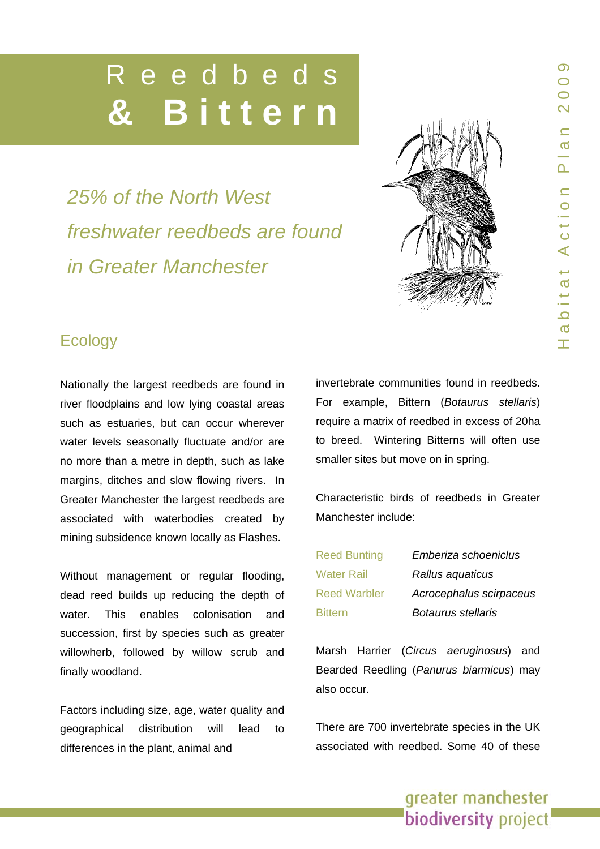# Reedbed  **& Bittern**

*25% of the North West freshwater reedbeds are found in Greater Manchester* 



# **Ecology**

Nationally the largest reedbeds are found in river floodplains and low lying coastal areas such as estuaries, but can occur wherever water levels seasonally fluctuate and/or are no more than a metre in depth, such as lake margins, ditches and slow flowing rivers. In Greater Manchester the largest reedbeds are associated with waterbodies created by mining subsidence known locally as Flashes.

Without management or regular flooding, dead reed builds up reducing the depth of water. This enables colonisation and succession, first by species such as greater willowherb, followed by willow scrub and finally woodland.

Factors including size, age, water quality and geographical distribution will lead to differences in the plant, animal and

invertebrate communities found in reedbeds. For example, Bittern (*Botaurus stellaris*) require a matrix of reedbed in excess of 20ha to breed. Wintering Bitterns will often use smaller sites but move on in spring.

Characteristic birds of reedbeds in Greater Manchester include:

Reed Bunting *Emberiza schoeniclus* 

Water Rail *Rallus aquaticus*  Reed Warbler *Acrocephalus scirpaceus*  Bittern *Botaurus stellaris* 

Marsh Harrier (*Circus aeruginosus*) and Bearded Reedling (*Panurus biarmicus*) may also occur.

There are 700 invertebrate species in the UK associated with reedbed. Some 40 of these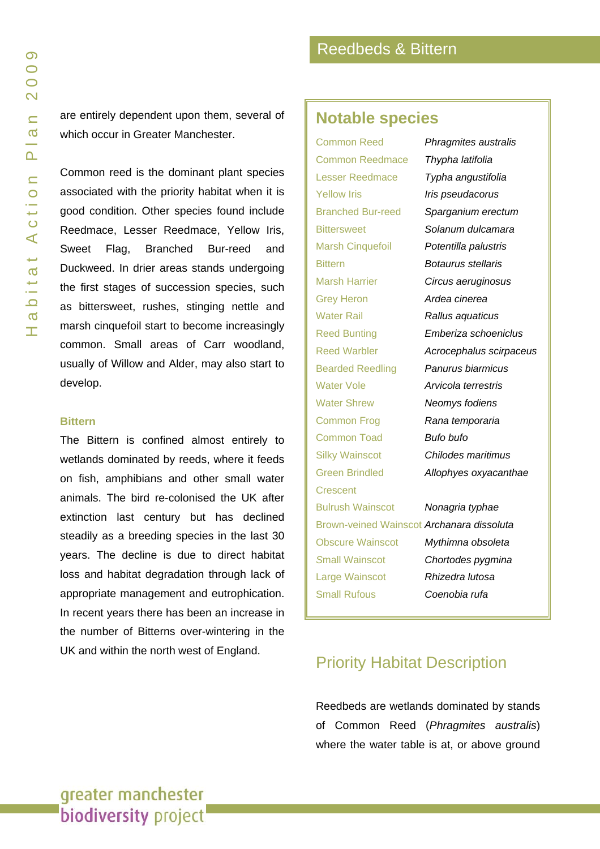are entirely dependent upon them, several of which occur in Greater Manchester.

Common reed is the dominant plant species associated with the priority habitat when it is good condition. Other species found include Reedmace, Lesser Reedmace, Yellow Iris, Sweet Flag, Branched Bur-reed and Duckweed. In drier areas stands undergoing the first stages of succession species, such as bittersweet, rushes, stinging nettle and marsh cinquefoil start to become increasingly common. Small areas of Carr woodland, usually of Willow and Alder, may also start to develop.

#### **Bittern**

The Bittern is confined almost entirely to wetlands dominated by reeds, where it feeds on fish, amphibians and other small water animals. The bird re-colonised the UK after extinction last century but has declined steadily as a breeding species in the last 30 years. The decline is due to direct habitat loss and habitat degradation through lack of appropriate management and eutrophication. In recent years there has been an increase in the number of Bitterns over-wintering in the UK and within the north west of England.

### **Notable species**

Common Reedmace *Thypha latifolia* Yellow Iris *Iris pseudacorus* Bittern *Botaurus stellaris* Grey Heron *Ardea cinerea* Water Rail *Rallus aquaticus* Water Vole *Arvicola terrestris* Water Shrew *Neomys fodiens* Common Frog *Rana temporaria* Common Toad *Bufo bufo* **Crescent** Bulrush Wainscot *Nonagria typhae S*mall Wainscot *Chortodes pygmina*  Large Wainscot *Rhizedra lutosa* Small Rufous *Coenobia rufa*

Common Reed *Phragmites australis* Lesser Reedmace *Typha angustifolia* Branched Bur-reed *Sparganium erectum* Bittersweet *Solanum dulcamara* Marsh Cinquefoil *Potentilla palustris* Marsh Harrier *Circus aeruginosus* Reed Bunting *Emberiza schoeniclus* Reed Warbler *Acrocephalus scirpaceus* Bearded Reedling *Panurus biarmicus* Silky Wainscot *Chilodes maritimus* Green Brindled *Allophyes oxyacanthae* Brown-veined Wainscot *Archanara dissoluta* Obscure Wainscot *Mythimna obsoleta*

### Priority Habitat Description

Reedbeds are wetlands dominated by stands of Common Reed (*Phragmites australis*) where the water table is at, or above ground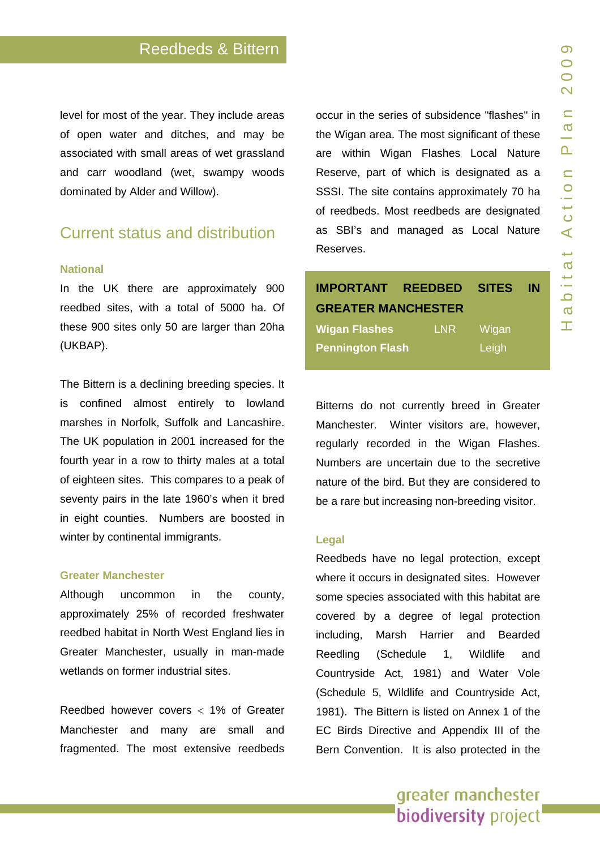level for most of the year. They include areas of open water and ditches, and may be associated with small areas of wet grassland and carr woodland (wet, swampy woods dominated by Alder and Willow).

## Current status and distribution

#### **National**

In the UK there are approximately 900 reedbed sites, with a total of 5000 ha. Of these 900 sites only 50 are larger than 20ha (UKBAP).

The Bittern is a declining breeding species. It is confined almost entirely to lowland marshes in Norfolk, Suffolk and Lancashire. The UK population in 2001 increased for the fourth year in a row to thirty males at a total of eighteen sites. This compares to a peak of seventy pairs in the late 1960's when it bred in eight counties. Numbers are boosted in winter by continental immigrants.

#### **Greater Manchester**

Although uncommon in the county, approximately 25% of recorded freshwater reedbed habitat in North West England lies in Greater Manchester, usually in man-made wetlands on former industrial sites.

Reedbed however covers < 1% of Greater Manchester and many are small and fragmented. The most extensive reedbeds occur in the series of subsidence "flashes" in the Wigan area. The most significant of these are within Wigan Flashes Local Nature Reserve, part of which is designated as a SSSI. The site contains approximately 70 ha of reedbeds. Most reedbeds are designated as SBI's and managed as Local Nature Reserves.

# **IMPORTANT REEDBED SITES IN GREATER MANCHESTER Wigan Flashes** LNR Wigan

**Pennington Flash** Leigh

Bitterns do not currently breed in Greater Manchester. Winter visitors are, however, regularly recorded in the Wigan Flashes. Numbers are uncertain due to the secretive nature of the bird. But they are considered to be a rare but increasing non-breeding visitor.

#### **Legal**

Reedbeds have no legal protection, except where it occurs in designated sites. However some species associated with this habitat are covered by a degree of legal protection including, Marsh Harrier and Bearded Reedling (Schedule 1, Wildlife and Countryside Act, 1981) and Water Vole (Schedule 5, Wildlife and Countryside Act, 1981). The Bittern is listed on Annex 1 of the EC Birds Directive and Appendix III of the Bern Convention. It is also protected in the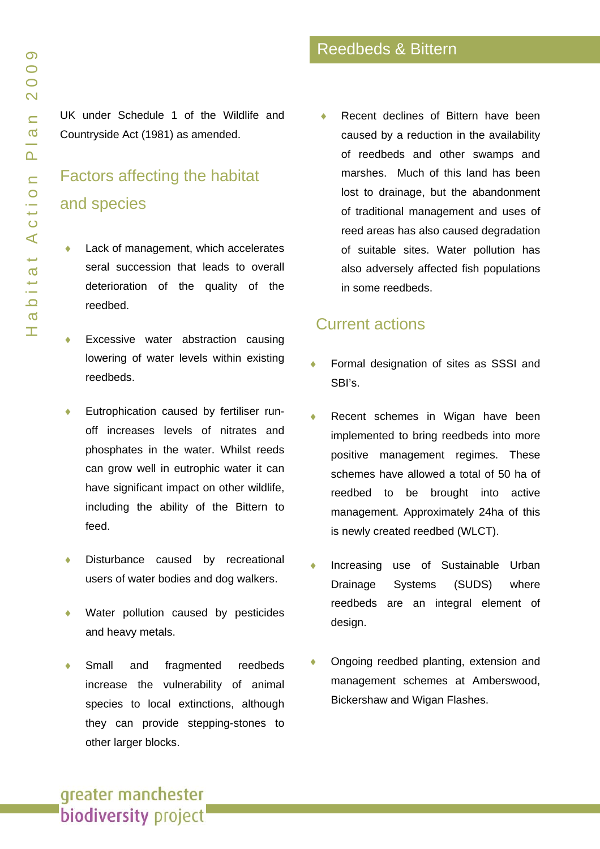UK under Schedule 1 of the Wildlife and Countryside Act (1981) as amended.

# Factors affecting the habitat and species

- Lack of management, which accelerates seral succession that leads to overall deterioration of the quality of the reedbed.
- Excessive water abstraction causing lowering of water levels within existing reedbeds.
- Eutrophication caused by fertiliser runoff increases levels of nitrates and phosphates in the water. Whilst reeds can grow well in eutrophic water it can have significant impact on other wildlife, including the ability of the Bittern to feed.
- Disturbance caused by recreational users of water bodies and dog walkers.
- Water pollution caused by pesticides and heavy metals.
- Small and fragmented reedbeds increase the vulnerability of animal species to local extinctions, although they can provide stepping-stones to

Recent declines of Bittern have been

Reedbeds & Bittern

caused by a reduction in the availability of reedbeds and other swamps and marshes. Much of this land has been lost to drainage, but the abandonment of traditional management and uses of reed areas has also caused degradation of suitable sites. Water pollution has also adversely affected fish populations in some reedbeds.

# Current actions

- Formal designation of sites as SSSI and SBI's.
- Recent schemes in Wigan have been implemented to bring reedbeds into more positive management regimes. These schemes have allowed a total of 50 ha of reedbed to be brought into active management. Approximately 24ha of this is newly created reedbed (WLCT).
- Increasing use of Sustainable Urban Drainage Systems (SUDS) where reedbeds are an integral element of design.
- Ongoing reedbed planting, extension and management schemes at Amberswood, Bickershaw and Wigan Flashes.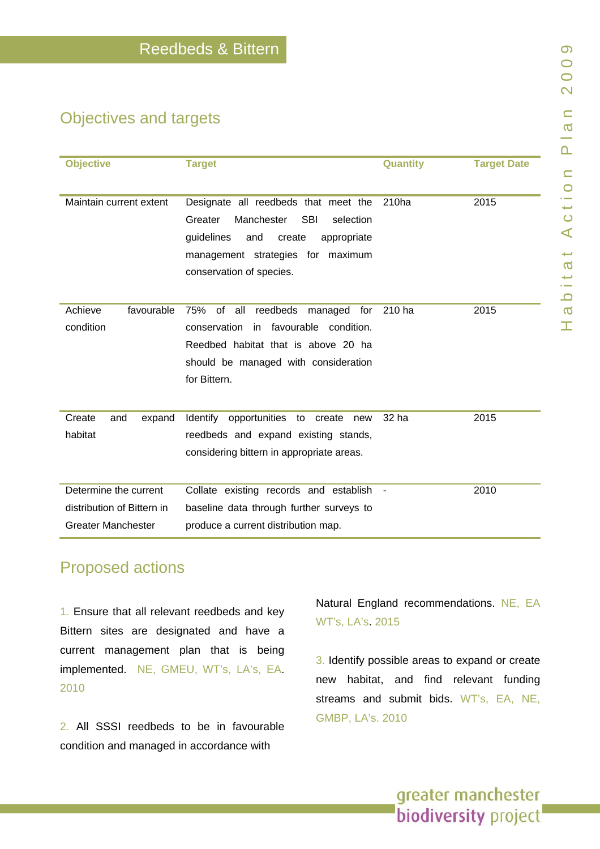# Objectives and targets

| <b>Objective</b>                                                                 | <b>Target</b>                                                                                                                                                                                           | Quantity          | <b>Target Date</b> |
|----------------------------------------------------------------------------------|---------------------------------------------------------------------------------------------------------------------------------------------------------------------------------------------------------|-------------------|--------------------|
| Maintain current extent                                                          | Designate all reedbeds that meet the<br>Manchester<br><b>SBI</b><br>Greater<br>selection<br>guidelines<br>and<br>create<br>appropriate<br>management strategies for maximum<br>conservation of species. | 210 <sub>ha</sub> | 2015               |
| Achieve<br>favourable<br>condition                                               | reedbeds<br>75%<br>of all<br>managed for<br>condition.<br>conservation<br>favourable<br>in.<br>Reedbed habitat that is above 20 ha<br>should be managed with consideration<br>for Bittern.              | 210 ha            | 2015               |
| Create<br>expand<br>and<br>habitat                                               | Identify opportunities to create<br>new<br>reedbeds and expand existing stands,<br>considering bittern in appropriate areas.                                                                            | 32 ha             | 2015               |
| Determine the current<br>distribution of Bittern in<br><b>Greater Manchester</b> | Collate existing records and establish<br>baseline data through further surveys to<br>produce a current distribution map.                                                                               |                   | 2010               |

# Proposed actions

1. Ensure that all relevant reedbeds and key Bittern sites are designated and have a current management plan that is being implemente d. NE, GMEU, WT's, LA's, EA. 2010

2. All SSSI reedbeds to be in favourable condition and managed in accordance with

Natural England recommendations. NE, EA WT's, LA's. 2015

3. Identify possible areas to expand or create new habitat, and find relevant funding streams and submit b ids. WT's, EA, NE, GMBP, LA's. 2010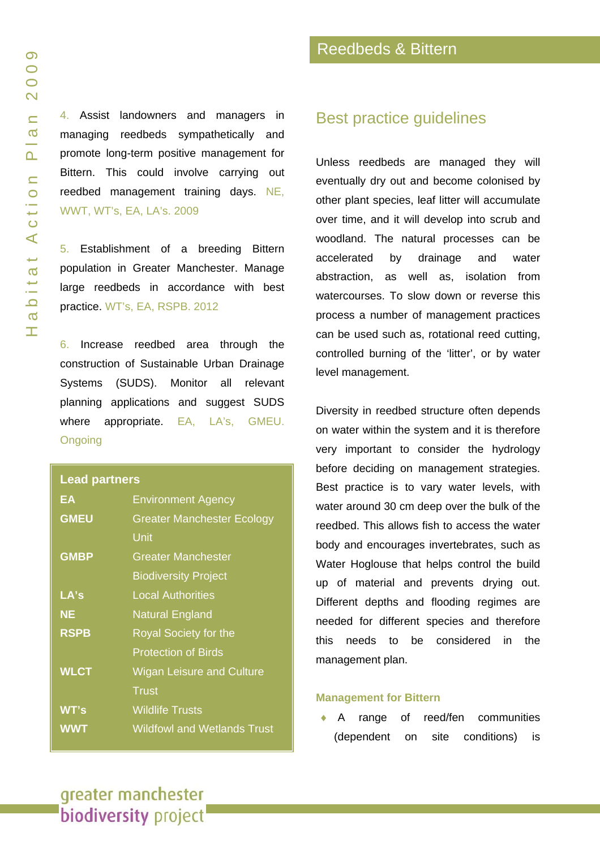4. Assist landowners and managers in managing reedbeds sympathetically and promote long-term positive management for Bittern. This could involve carrying out reedbed management training days. NE, WWT, WT's, EA, LA's. 2009

5. Establishment of a breeding Bittern population in Greater Manchester. Manage large reedbeds in accordance with best practice. WT's, EA, RSPB. 2012

6. Increase reedbed area through the construction of Sustainable Urban Drainage Systems (SUDS). Monitor all relevant planning applications and suggest SUDS where appropriate. EA, LA's, GMEU. **Ongoing** 

#### **Lead partners**

| EΑ          | <b>Environment Agency</b>          |  |
|-------------|------------------------------------|--|
| <b>GMEU</b> | <b>Greater Manchester Ecology</b>  |  |
|             | Unit                               |  |
| <b>GMBP</b> | <b>Greater Manchester</b>          |  |
|             | <b>Biodiversity Project</b>        |  |
| LA's        | <b>Local Authorities</b>           |  |
| <b>NE</b>   | <b>Natural England</b>             |  |
| <b>RSPB</b> | <b>Royal Society for the</b>       |  |
|             | <b>Protection of Birds</b>         |  |
| <b>WLCT</b> | <b>Wigan Leisure and Culture</b>   |  |
|             | Trust                              |  |
| WT's        | <b>Wildlife Trusts</b>             |  |
| <b>WWT</b>  | <b>Wildfowl and Wetlands Trust</b> |  |

### Best practice guidelines

Unless reedbeds are managed they will eventually dry out and become colonised by other plant species, leaf litter will accumulate over time, and it will develop into scrub and woodland. The natural processes can be accelerated by drainage and water abstraction, as well as, isolation from watercourses. To slow down or reverse this process a number of management practices can be used such as, rotational reed cutting, controlled burning of the 'litter', or by water level management.

Diversity in reedbed structure often depends on water within the system and it is therefore very important to consider the hydrology before deciding on management strategies. Best practice is to vary water levels, with water around 30 cm deep over the bulk of the reedbed. This allows fish to access the water body and encourages invertebrates, such as Water Hoglouse that helps control the build up of material and prevents drying out. Different depths and flooding regimes are needed for different species and therefore this needs to be considered in the management plan.

#### **Management for Bittern**

♦ A range of reed/fen communities (dependent on site conditions) is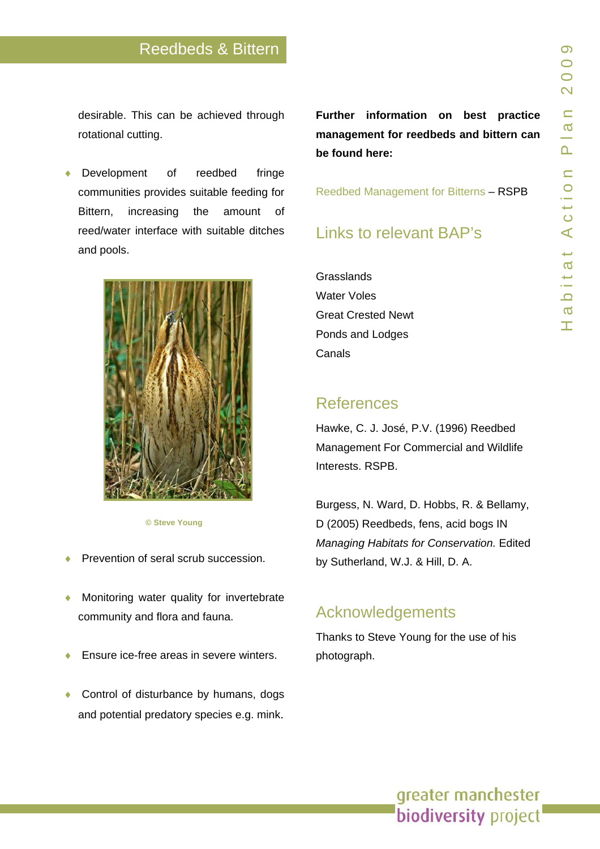### Reedbeds & Bittern

desirable. T his can be achieved through rotational cutting.

◆ Development of reedbed fringe communities provides suitable feeding for Bittern, increasing the amount of reed/water interface with suitable d itches and pools.



#### **© Ste ve Young**

- ◆ Prevention of seral scrub succession.
- ♦ Monitoring water quality for inverte brate community and flora and fauna.
- ◆ Ensure ice-free areas in severe winters.
- ◆ Control of disturbance by humans, dogs and potential predatory species e.g. mink.

**Further information on best practice management for reedbeds and bittern can be found here:**

[Reedbed Management for Bitterns](http://www.brga.org.uk/files/Download/Reedbed Management for Bitterns.pdf) – RSPB

## Links to relevant BAP's

**Grasslands** [Water Voles](www.gmbp.org.uk/site/images/stories/water voles bap_09.pdf)  [Great Crested Newt](www.gmbp.org.uk/site/images/stories/great crested newt bap_09.pdf)  [Ponds and Lodges](www.gmbp.org.uk/site/images/stories/ponds & lodges bap_09.pdf)  Canals

### **References**

Hawke, C. J. José, P.V. (1996) Reedbed Management For Commercial and Wildlife Interests. RSPB.

Burgess, N. Ward, D. Hobbs, R. & Bellamy, D (2005) Reedbeds, fen s, acid bogs IN *Managing Habitats for Conservation.* Edited by Sutherland, W.J. & Hill, D. A.

### Acknowledgements

Thanks to S teve Young for the use o f his photograph.